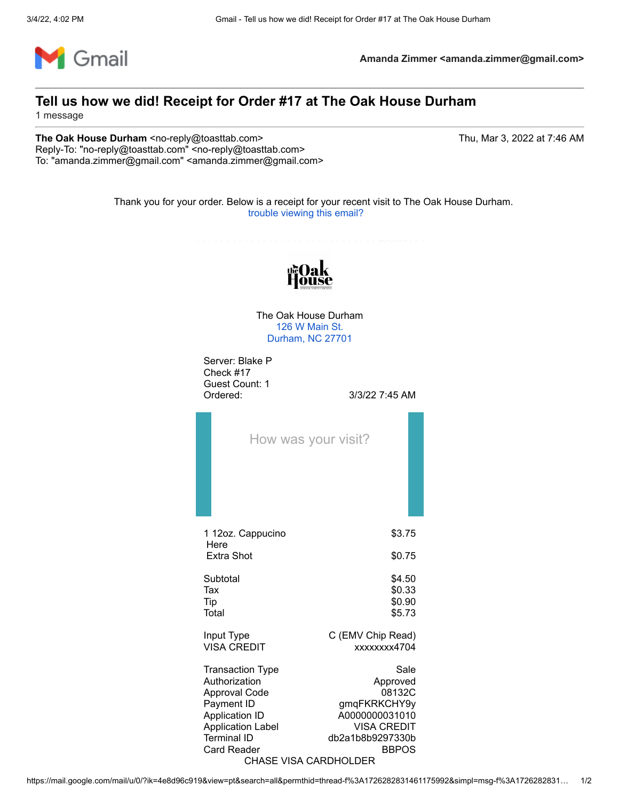

**Amanda Zimmer <amanda.zimmer@gmail.com>**

## **Tell us how we did! Receipt for Order #17 at The Oak House Durham**

1 message

**The Oak House Durham** <no-reply@toasttab.com> The Oak House 3, 2022 at 7:46 AM Reply-To: "no-reply@toasttab.com" <no-reply@toasttab.com> To: "amanda.zimmer@gmail.com" <amanda.zimmer@gmail.com>

Thank you for your order. Below is a receipt for your recent visit to The Oak House Durham. [trouble viewing this email?](https://www.toasttab.com/receipts/qvdshCNQQj-nH4bv003dKw/qPpsKYpKtwzwg)



The Oak House Durham [126 W Main St.](https://www.google.com/maps/search/126+W+Main+St.+Durham,+NC+27701?entry=gmail&source=g) [Durham, NC 27701](https://www.google.com/maps/search/126+W+Main+St.+Durham,+NC+27701?entry=gmail&source=g)

Server: Blake P Check #17 Guest Count: 1 Ordered: 3/3/22 7:45 AM

|                                         | How was your visit? |
|-----------------------------------------|---------------------|
| 1 12oz. Cappucino<br>Here<br>Extra Shot | \$3.75<br>\$0.75    |
| Subtotal                                | \$4.50              |
| Tax                                     | \$0.33              |
| Tip                                     | \$0.90              |
| Total                                   | \$5.73              |
| Input Type                              | C (EMV Chip Read)   |
| <b>VISA CREDIT</b>                      | xxxxxxx4704         |
| <b>Transaction Type</b>                 | Sale                |
| Authorization                           | Approved            |
| <b>Approval Code</b>                    | 08132C              |
| Payment ID                              | gmqFKRKCHY9y        |
| <b>Application ID</b>                   | A0000000031010      |
| <b>Application Label</b>                | <b>VISA CREDIT</b>  |
| <b>Terminal ID</b>                      | db2a1b8b9297330b    |
| <b>Card Reader</b>                      | <b>BBPOS</b>        |

## CHASE VISA CARDHOLDER